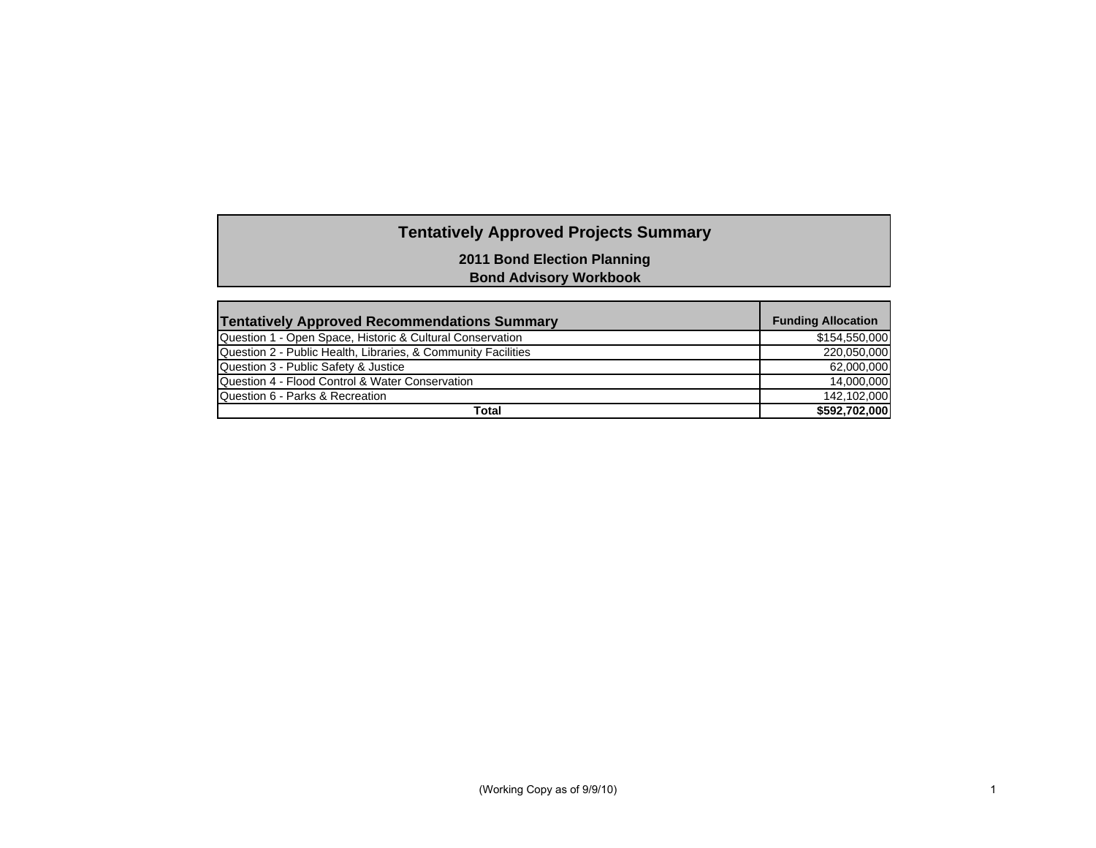# **Tentatively Approved Projects Summary**

**2011 Bond Election Planning**

**Bond Advisory Workbook**

| <b>Tentatively Approved Recommendations Summary</b>           | <b>Funding Allocation</b> |
|---------------------------------------------------------------|---------------------------|
| Question 1 - Open Space, Historic & Cultural Conservation     | \$154,550,000             |
| Question 2 - Public Health, Libraries, & Community Facilities | 220,050,000               |
| Question 3 - Public Safety & Justice                          | 62,000,000                |
| Question 4 - Flood Control & Water Conservation               | 14,000,000                |
| Question 6 - Parks & Recreation                               | 142,102,000               |
| Total                                                         | \$592,702,000             |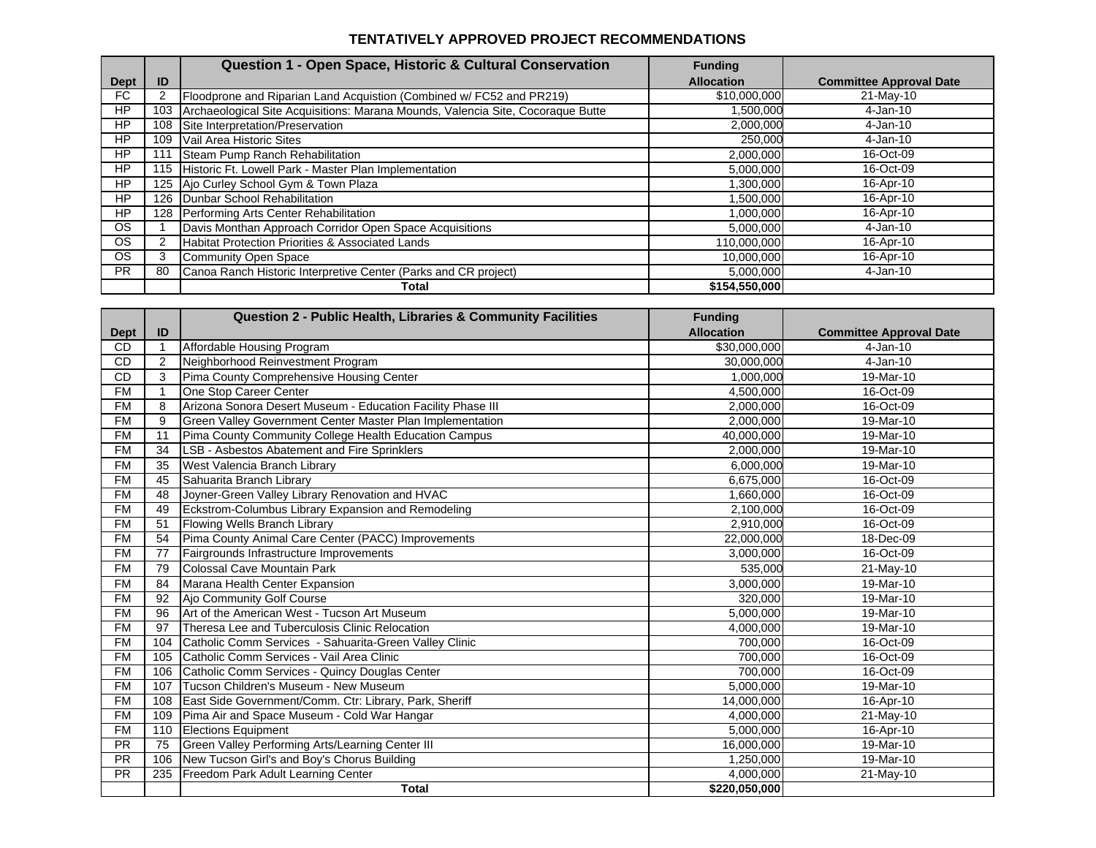#### **TENTATIVELY APPROVED PROJECT RECOMMENDATIONS**

|           |     | Question 1 - Open Space, Historic & Cultural Conservation                       | <b>Funding</b>    |                                |
|-----------|-----|---------------------------------------------------------------------------------|-------------------|--------------------------------|
| Dept      | ID  |                                                                                 | <b>Allocation</b> | <b>Committee Approval Date</b> |
| FC.       |     | Floodprone and Riparian Land Acquistion (Combined w/FC52 and PR219)             | \$10,000,000      | 21-May-10                      |
| HP        | 103 | Archaeological Site Acquisitions: Marana Mounds, Valencia Site, Cocoraque Butte | 1,500,000         | 4-Jan-10                       |
| HP        | 108 | Site Interpretation/Preservation                                                | 2,000,000         | 4-Jan-10                       |
| <b>HP</b> | 109 | Vail Area Historic Sites                                                        | 250,000           | 4-Jan-10                       |
| HP        |     | Steam Pump Ranch Rehabilitation                                                 | 2,000,000         | 16-Oct-09                      |
| HP        |     | 115 Historic Ft. Lowell Park - Master Plan Implementation                       | 5,000,000         | 16-Oct-09                      |
| HP        |     | 125 Ajo Curley School Gym & Town Plaza                                          | 000,000.          | 16-Apr-10                      |
| HP        |     | 126 Dunbar School Rehabilitation                                                | 1,500,000         | 16-Apr-10                      |
| <b>HP</b> |     | 128 Performing Arts Center Rehabilitation                                       | 1,000,000         | 16-Apr-10                      |
| <b>OS</b> |     | Davis Monthan Approach Corridor Open Space Acquisitions                         | 5,000,000         | 4-Jan-10                       |
| <b>OS</b> |     | <b>Habitat Protection Priorities &amp; Associated Lands</b>                     | 110,000,000       | 16-Apr-10                      |
| <b>OS</b> | 3   | Community Open Space                                                            | 10,000,000        | 16-Apr-10                      |
| <b>PR</b> | 80  | Canoa Ranch Historic Interpretive Center (Parks and CR project)                 | 5,000,000         | 4-Jan-10                       |
|           |     | Total                                                                           | \$154,550,000     |                                |

|             |                | <b>Question 2 - Public Health, Libraries &amp; Community Facilities</b> | <b>Funding</b>    |                                |
|-------------|----------------|-------------------------------------------------------------------------|-------------------|--------------------------------|
| <b>Dept</b> | ID             |                                                                         | <b>Allocation</b> | <b>Committee Approval Date</b> |
| <b>CD</b>   |                | Affordable Housing Program                                              | \$30,000,000      | $4-Jan-10$                     |
| CD          | $\overline{2}$ | Neighborhood Reinvestment Program                                       | 30.000.000        | $4-Jan-10$                     |
| <b>CD</b>   | 3              | Pima County Comprehensive Housing Center                                | 1,000,000         | 19-Mar-10                      |
| <b>FM</b>   |                | One Stop Career Center                                                  | 4.500.000         | 16-Oct-09                      |
| <b>FM</b>   | 8              | Arizona Sonora Desert Museum - Education Facility Phase III             | 2,000,000         | 16-Oct-09                      |
| <b>FM</b>   | 9              | Green Valley Government Center Master Plan Implementation               | 2.000.000         | 19-Mar-10                      |
| <b>FM</b>   | 11             | Pima County Community College Health Education Campus                   | 40,000,000        | 19-Mar-10                      |
| <b>FM</b>   | 34             | LSB - Asbestos Abatement and Fire Sprinklers                            | 2,000,000         | 19-Mar-10                      |
| <b>FM</b>   | 35             | West Valencia Branch Library                                            | 6,000,000         | 19-Mar-10                      |
| <b>FM</b>   | 45             | Sahuarita Branch Library                                                | 6,675,000         | 16-Oct-09                      |
| <b>FM</b>   | 48             | Joyner-Green Valley Library Renovation and HVAC                         | 1,660,000         | 16-Oct-09                      |
| <b>FM</b>   | 49             | Eckstrom-Columbus Library Expansion and Remodeling                      | 2,100,000         | 16-Oct-09                      |
| <b>FM</b>   | 51             | Flowing Wells Branch Library                                            | 2,910,000         | 16-Oct-09                      |
| <b>FM</b>   | 54             | Pima County Animal Care Center (PACC) Improvements                      | 22,000,000        | 18-Dec-09                      |
| <b>FM</b>   | 77             | Fairgrounds Infrastructure Improvements                                 | 3,000,000         | 16-Oct-09                      |
| <b>FM</b>   | 79             | Colossal Cave Mountain Park                                             | 535,000           | 21-May-10                      |
| <b>FM</b>   | 84             | Marana Health Center Expansion                                          | 3,000,000         | 19-Mar-10                      |
| <b>FM</b>   | 92             | Ajo Community Golf Course                                               | 320,000           | 19-Mar-10                      |
| <b>FM</b>   | 96             | Art of the American West - Tucson Art Museum                            | 5,000,000         | 19-Mar-10                      |
| <b>FM</b>   | 97             | Theresa Lee and Tuberculosis Clinic Relocation                          | 4,000,000         | 19-Mar-10                      |
| <b>FM</b>   | 104            | Catholic Comm Services - Sahuarita-Green Valley Clinic                  | 700.000           | 16-Oct-09                      |
| <b>FM</b>   | 105            | Catholic Comm Services - Vail Area Clinic                               | 700,000           | 16-Oct-09                      |
| <b>FM</b>   | 106            | Catholic Comm Services - Quincy Douglas Center                          | 700.000           | 16-Oct-09                      |
| <b>FM</b>   | 107            | Tucson Children's Museum - New Museum                                   | 5,000,000         | 19-Mar-10                      |
| FM          | 108            | East Side Government/Comm. Ctr: Library, Park, Sheriff                  | 14,000,000        | 16-Apr-10                      |
| <b>FM</b>   | 109            | Pima Air and Space Museum - Cold War Hangar                             | 4,000,000         | $21$ -May-10                   |
| <b>FM</b>   | 110            | <b>Elections Equipment</b>                                              | 5,000,000         | 16-Apr-10                      |
| <b>PR</b>   | 75             | Green Valley Performing Arts/Learning Center III                        | 16,000,000        | 19-Mar-10                      |
| <b>PR</b>   | 106            | New Tucson Girl's and Boy's Chorus Building                             | 1,250,000         | 19-Mar-10                      |
| PR          | 235            | Freedom Park Adult Learning Center                                      | 4,000,000         | 21-May-10                      |
|             |                | <b>Total</b>                                                            | \$220,050,000     |                                |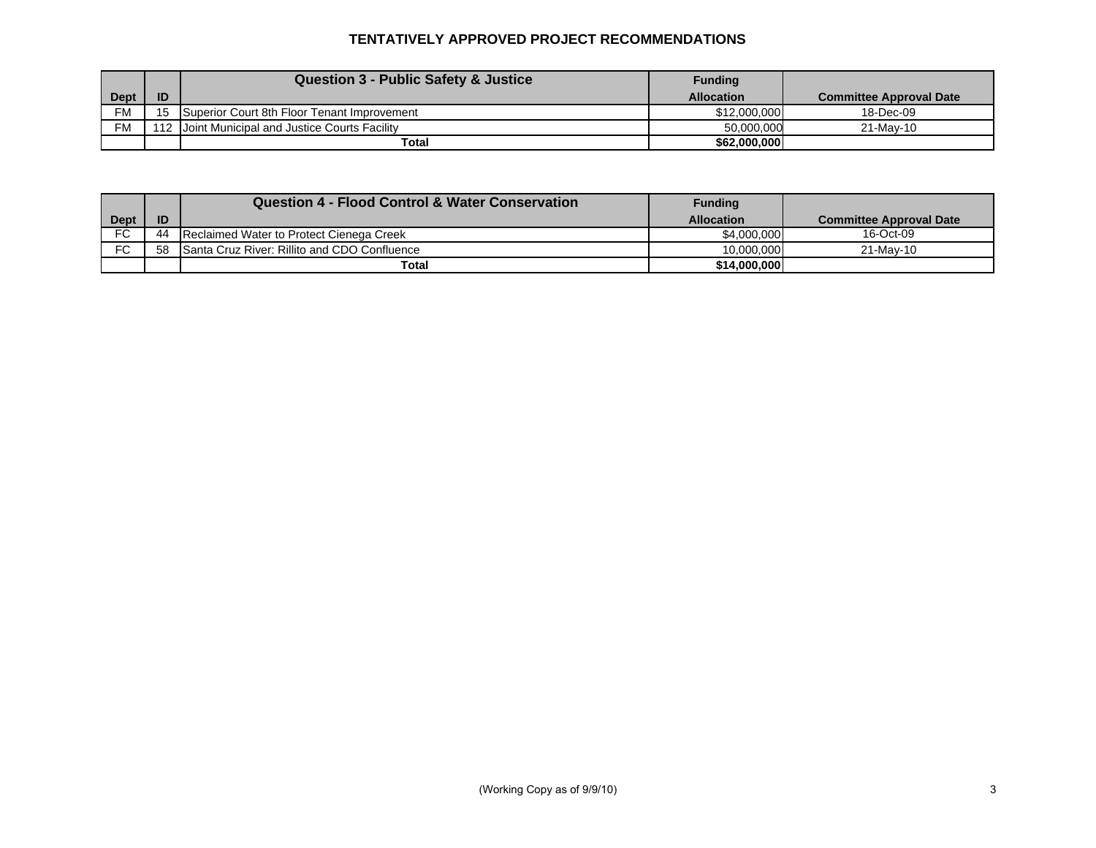## **TENTATIVELY APPROVED PROJECT RECOMMENDATIONS**

|             |    | <b>Question 3 - Public Safety &amp; Justice</b> | <b>Funding</b>    |                                |
|-------------|----|-------------------------------------------------|-------------------|--------------------------------|
| <b>Dept</b> | ID |                                                 | <b>Allocation</b> | <b>Committee Approval Date</b> |
| <b>FM</b>   |    | Superior Court 8th Floor Tenant Improvement     | \$12,000,000      | 18-Dec-09                      |
| <b>FM</b>   |    | 112 Joint Municipal and Justice Courts Facility | 50.000.000        | 21-May-10                      |
|             |    | Total                                           | \$62,000,000      |                                |

|             |    | <b>Question 4 - Flood Control &amp; Water Conservation</b> | Funding           |                                |
|-------------|----|------------------------------------------------------------|-------------------|--------------------------------|
| <b>Dept</b> | ID |                                                            | <b>Allocation</b> | <b>Committee Approval Date</b> |
| FC.         | 44 | Reclaimed Water to Protect Cienega Creek                   | \$4,000,000       | 16-Oct-09                      |
| FC          | 58 | Santa Cruz River: Rillito and CDO Confluence               | 10.000.000        | 21-May-10                      |
|             |    | Total                                                      | \$14,000,000      |                                |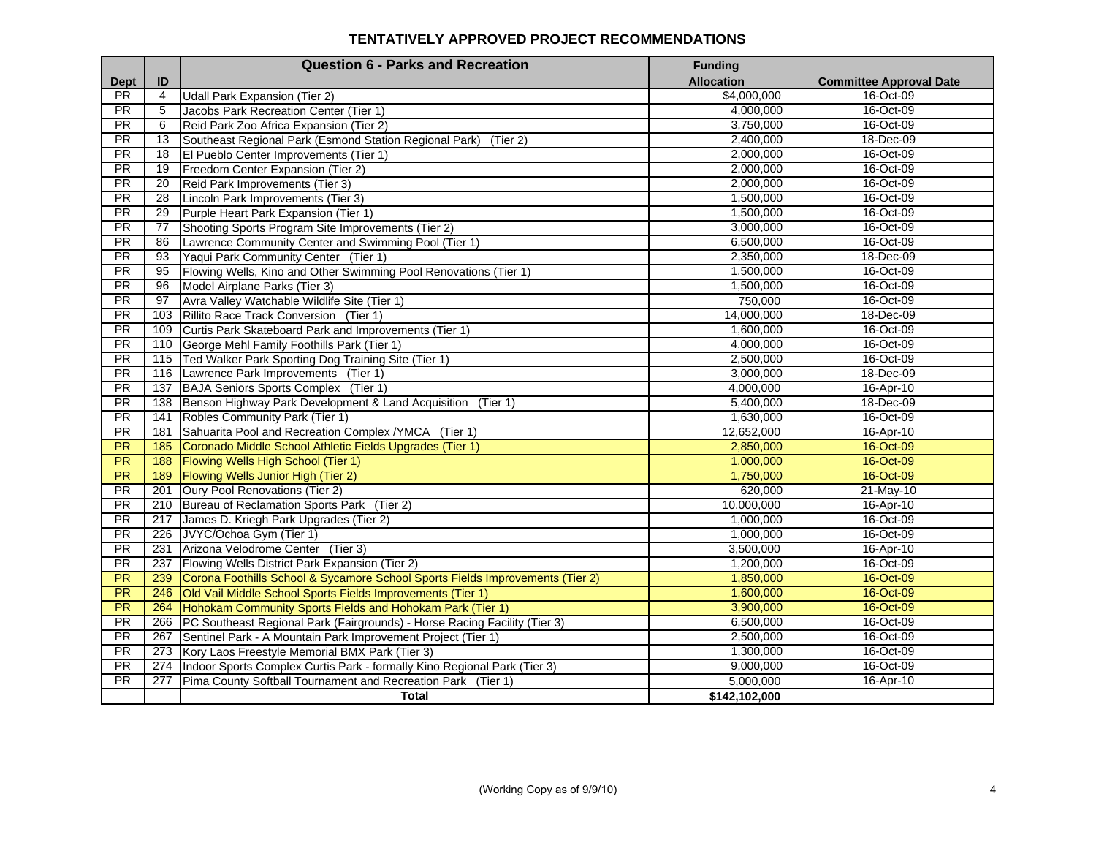#### **TENTATIVELY APPROVED PROJECT RECOMMENDATIONS**

|                 |                | <b>Question 6 - Parks and Recreation</b>                                      | <b>Funding</b>    |                                |
|-----------------|----------------|-------------------------------------------------------------------------------|-------------------|--------------------------------|
| <b>Dept</b>     | ID             |                                                                               | <b>Allocation</b> | <b>Committee Approval Date</b> |
| <b>PR</b>       | $\overline{4}$ | <b>Udall Park Expansion (Tier 2)</b>                                          | \$4,000,000       | 16-Oct-09                      |
| PR.             | 5              | Jacobs Park Recreation Center (Tier 1)                                        | 4,000,000         | 16-Oct-09                      |
| <b>PR</b>       | 6              | Reid Park Zoo Africa Expansion (Tier 2)                                       | 3,750,000         | 16-Oct-09                      |
| <b>PR</b>       | 13             | Southeast Regional Park (Esmond Station Regional Park)<br>(Tier 2)            | 2,400,000         | 18-Dec-09                      |
| PR.             | 18             | El Pueblo Center Improvements (Tier 1)                                        | 2,000,000         | 16-Oct-09                      |
| <b>PR</b>       | 19             | Freedom Center Expansion (Tier 2)                                             | 2,000,000         | 16-Oct-09                      |
| $\overline{PR}$ | 20             | Reid Park Improvements (Tier 3)                                               | 2,000,000         | 16-Oct-09                      |
| PR              | 28             | Lincoln Park Improvements (Tier 3)                                            | 1,500,000         | 16-Oct-09                      |
| <b>PR</b>       | 29             | Purple Heart Park Expansion (Tier 1)                                          | 1,500,000         | 16-Oct-09                      |
| <b>PR</b>       | 77             | Shooting Sports Program Site Improvements (Tier 2)                            | 3,000,000         | 16-Oct-09                      |
| <b>PR</b>       | 86             | Lawrence Community Center and Swimming Pool (Tier 1)                          | 6,500,000         | 16-Oct-09                      |
| PR              | 93             | Yaqui Park Community Center (Tier 1)                                          | 2,350,000         | 18-Dec-09                      |
| $\overline{PR}$ | 95             | Flowing Wells, Kino and Other Swimming Pool Renovations (Tier 1)              | 1,500,000         | 16-Oct-09                      |
| PR              | 96             | Model Airplane Parks (Tier 3)                                                 | 1,500,000         | 16-Oct-09                      |
| $\overline{PR}$ | 97             | Avra Valley Watchable Wildlife Site (Tier 1)                                  | 750,000           | 16-Oct-09                      |
| <b>PR</b>       | 103            | Rillito Race Track Conversion (Tier 1)                                        | 14,000,000        | 18-Dec-09                      |
| PR              | 109            | Curtis Park Skateboard Park and Improvements (Tier 1)                         | 1,600,000         | 16-Oct-09                      |
| <b>PR</b>       | 110            | George Mehl Family Foothills Park (Tier 1)                                    | 4,000,000         | 16-Oct-09                      |
| PR              | 115            | Ted Walker Park Sporting Dog Training Site (Tier 1)                           | 2,500,000         | 16-Oct-09                      |
| <b>PR</b>       | 116            | Lawrence Park Improvements (Tier 1)                                           | 3,000,000         | 18-Dec-09                      |
| <b>PR</b>       | 137            | BAJA Seniors Sports Complex (Tier 1)                                          | 4.000.000         | 16-Apr-10                      |
| <b>PR</b>       | 138            | Benson Highway Park Development & Land Acquisition (Tier 1)                   | 5,400,000         | 18-Dec-09                      |
| $\overline{PR}$ | 141            | Robles Community Park (Tier 1)                                                | 1,630,000         | 16-Oct-09                      |
| PR              | 181            | Sahuarita Pool and Recreation Complex / YMCA (Tier 1)                         | 12,652,000        | 16-Apr-10                      |
| PR              | 185            | Coronado Middle School Athletic Fields Upgrades (Tier 1)                      | 2,850,000         | 16-Oct-09                      |
| <b>PR</b>       | 188            | Flowing Wells High School (Tier 1)                                            | 1,000,000         | 16-Oct-09                      |
| PR              | 189            | <b>Flowing Wells Junior High (Tier 2)</b>                                     | 1,750,000         | 16-Oct-09                      |
| <b>PR</b>       | 201            | Oury Pool Renovations (Tier 2)                                                | 620,000           | 21-May-10                      |
| <b>PR</b>       | 210            | Bureau of Reclamation Sports Park (Tier 2)                                    | 10,000,000        | 16-Apr-10                      |
| PR              | 217            | James D. Kriegh Park Upgrades (Tier 2)                                        | 1,000,000         | 16-Oct-09                      |
| PR              | 226            | JVYC/Ochoa Gym (Tier 1)                                                       | 1,000,000         | 16-Oct-09                      |
| <b>PR</b>       | 231            | Arizona Velodrome Center (Tier 3)                                             | 3,500,000         | 16-Apr-10                      |
| PR              | 237            | Flowing Wells District Park Expansion (Tier 2)                                | 1,200,000         | 16-Oct-09                      |
| <b>PR</b>       | 239            | Corona Foothills School & Sycamore School Sports Fields Improvements (Tier 2) | 1,850,000         | 16-Oct-09                      |
| <b>PR</b>       | 246            | Old Vail Middle School Sports Fields Improvements (Tier 1)                    | 1,600,000         | 16-Oct-09                      |
| $\overline{PR}$ | 264            | Hohokam Community Sports Fields and Hohokam Park (Tier 1)                     | 3,900,000         | 16-Oct-09                      |
| PR              | 266            | PC Southeast Regional Park (Fairgrounds) - Horse Racing Facility (Tier 3)     | 6,500,000         | 16-Oct-09                      |
| <b>PR</b>       | 267            | Sentinel Park - A Mountain Park Improvement Project (Tier 1)                  | 2,500,000         | 16-Oct-09                      |
| <b>PR</b>       | 273            | Kory Laos Freestyle Memorial BMX Park (Tier 3)                                | 1,300,000         | 16-Oct-09                      |
| PR              | 274            | Indoor Sports Complex Curtis Park - formally Kino Regional Park (Tier 3)      | 9,000,000         | 16-Oct-09                      |
| <b>PR</b>       | 277            | Pima County Softball Tournament and Recreation Park (Tier 1)                  | 5,000,000         | 16-Apr-10                      |
|                 |                | <b>Total</b>                                                                  | \$142,102,000     |                                |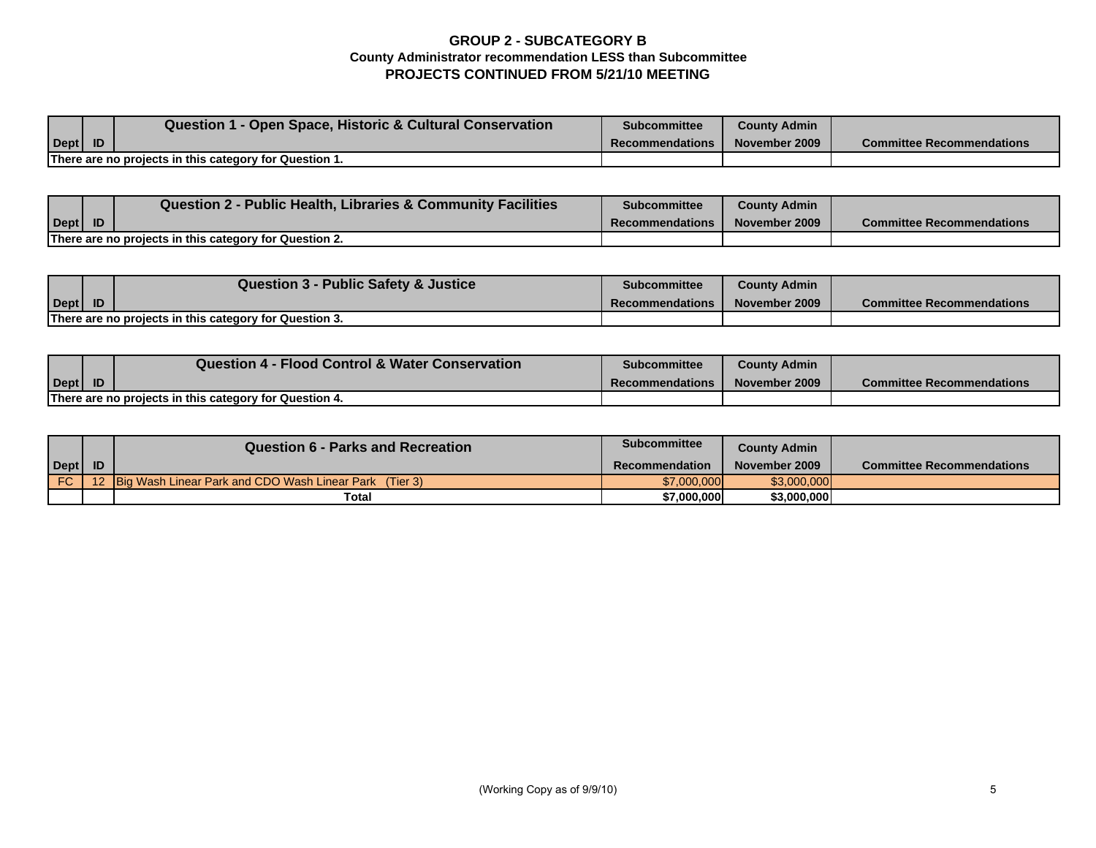## **GROUP 2 - SUBCATEGORY B County Administrator recommendation LESS than Subcommittee PROJECTS CONTINUED FROM 5/21/10 MEETING**

|                                                        |  | Question 1 - Open Space, Historic & Cultural Conservation | <b>Subcommittee</b>    | <b>County Admin</b> |                                  |
|--------------------------------------------------------|--|-----------------------------------------------------------|------------------------|---------------------|----------------------------------|
| $\text{Depth}$ ID                                      |  |                                                           | <b>Recommendations</b> | November 2009       | <b>Committee Recommendations</b> |
| There are no projects in this category for Question 1. |  |                                                           |                        |                     |                                  |

|                                                        |  | Question 2 - Public Health, Libraries & Community Facilities | <b>Subcommittee</b>    | <b>County Admin</b> |                                  |
|--------------------------------------------------------|--|--------------------------------------------------------------|------------------------|---------------------|----------------------------------|
| $\vert$ Dept $\vert$                                   |  |                                                              | <b>Recommendations</b> | November 2009       | <b>Committee Recommendations</b> |
| There are no projects in this category for Question 2. |  |                                                              |                        |                     |                                  |

|                                                        |  | Question 3 - Public Safety & Justice | Subcommittee           | <b>County Admin</b> |                                  |
|--------------------------------------------------------|--|--------------------------------------|------------------------|---------------------|----------------------------------|
| $\vert$ Dept $\vert$                                   |  |                                      | <b>Recommendations</b> | November 2009       | <b>Committee Recommendations</b> |
| There are no projects in this category for Question 3. |  |                                      |                        |                     |                                  |

|                                                        |           | <b>Question 4 - Flood Control &amp; Water Conservation</b> | <b>Subcommittee</b>    | <b>County Admin</b> |                                  |
|--------------------------------------------------------|-----------|------------------------------------------------------------|------------------------|---------------------|----------------------------------|
| Dept                                                   | <b>ID</b> |                                                            | <b>Recommendations</b> | November 2009       | <b>Committee Recommendations</b> |
| There are no projects in this category for Question 4. |           |                                                            |                        |                     |                                  |

|      | <b>Question 6 - Parks and Recreation</b>                      | <b>Subcommittee</b> | <b>County Admin</b> |                                  |
|------|---------------------------------------------------------------|---------------------|---------------------|----------------------------------|
| Dept |                                                               | Recommendation      | November 2009       | <b>Committee Recommendations</b> |
| FC.  | <b>Big Wash Linear Park and CDO Wash Linear Park</b> (Tier 3) | \$7,000,000         | \$3,000,000         |                                  |
|      | <b>Total</b>                                                  | \$7,000,000         | \$3,000,000         |                                  |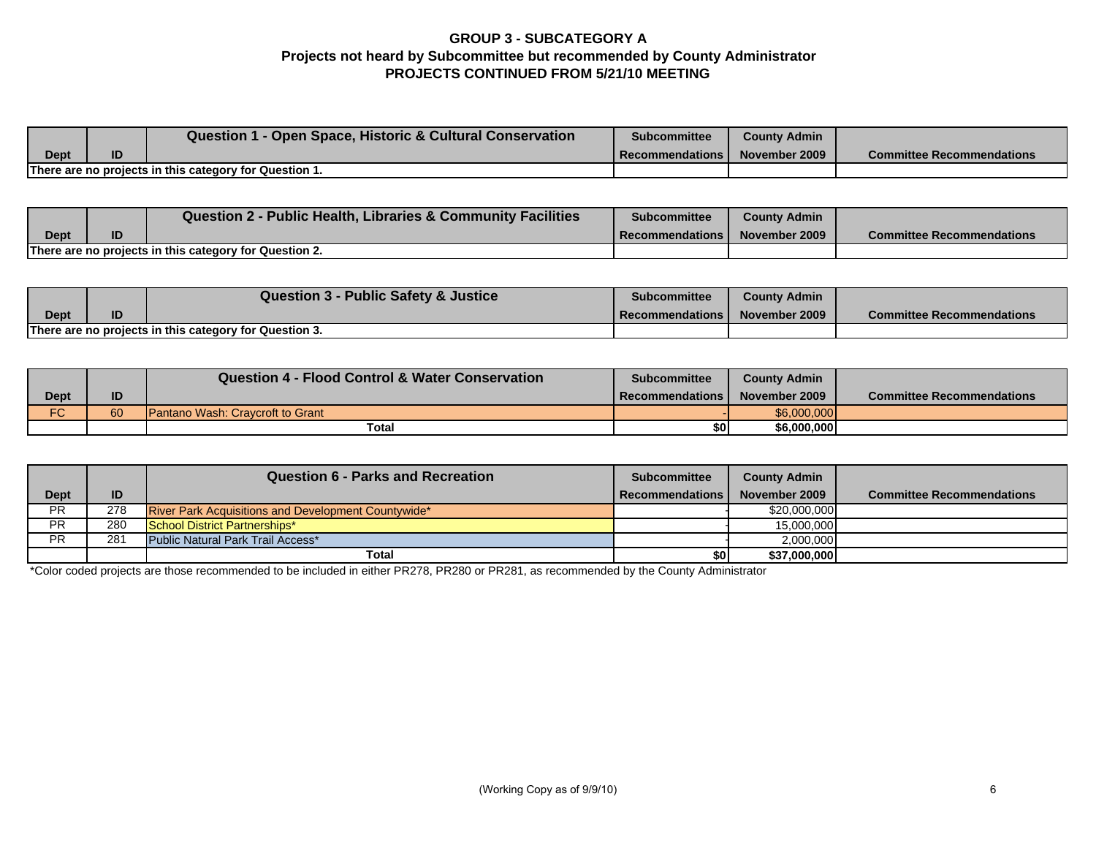## **GROUP 3 - SUBCATEGORY A Projects not heard by Subcommittee but recommended by County Administrator PROJECTS CONTINUED FROM 5/21/10 MEETING**

|      |    | <b>Question 1 - Open Space, Historic &amp; Cultural Conservation</b> | <b>Subcommittee</b> | <b>County Admin</b> |                                  |
|------|----|----------------------------------------------------------------------|---------------------|---------------------|----------------------------------|
| Dept | ID |                                                                      | l Recommendations l | November 2009       | <b>Committee Recommendations</b> |
|      |    | There are no projects in this category for Question 1.               |                     |                     |                                  |

|                                                        |    | <b>Question 2 - Public Health, Libraries &amp; Community Facilities</b> | <b>Subcommittee</b>      | County Admin  |                                  |
|--------------------------------------------------------|----|-------------------------------------------------------------------------|--------------------------|---------------|----------------------------------|
| <b>Dept</b>                                            | ID |                                                                         | <b>I</b> Recommendations | November 2009 | <b>Committee Recommendations</b> |
| There are no projects in this category for Question 2. |    |                                                                         |                          |               |                                  |

|                                                        |    | <b>Question 3 - Public Safety &amp; Justice</b> | <b>Subcommittee</b>      | <b>County Admin</b> |                                  |
|--------------------------------------------------------|----|-------------------------------------------------|--------------------------|---------------------|----------------------------------|
| <b>Dept</b>                                            | ID |                                                 | <b>Recommendations I</b> | November 2009       | <b>Committee Recommendations</b> |
| There are no projects in this category for Question 3. |    |                                                 |                          |                     |                                  |

|                      |    | <b>Question 4 - Flood Control &amp; Water Conservation</b> | <b>Subcommittee</b> | <b>County Admin</b> |                                  |
|----------------------|----|------------------------------------------------------------|---------------------|---------------------|----------------------------------|
| Dept                 | ID |                                                            | Recommendations     | November 2009       | <b>Committee Recommendations</b> |
| $\overline{C}$<br>־ט | 60 | <b>Pantano Wash: Cravcroft to Grant</b>                    |                     | \$6,000,000         |                                  |
|                      |    | Total                                                      | \$OI                | \$6,000,000         |                                  |

|             |     | <b>Question 6 - Parks and Recreation</b>                   | <b>Subcommittee</b>    | <b>County Admin</b> |                                  |
|-------------|-----|------------------------------------------------------------|------------------------|---------------------|----------------------------------|
| <b>Dept</b> | ID  |                                                            | <b>Recommendations</b> | November 2009       | <b>Committee Recommendations</b> |
| <b>PR</b>   | 278 | <b>River Park Acquisitions and Development Countywide*</b> |                        | \$20,000,000        |                                  |
| <b>PR</b>   | 280 | School District Partnerships*                              |                        | 15,000,000          |                                  |
| <b>PR</b>   | 281 | Public Natural Park Trail Access*                          |                        | 2,000,000           |                                  |
|             |     | Total                                                      | \$0                    | \$37,000,000        |                                  |

\*Color coded projects are those recommended to be included in either PR278, PR280 or PR281, as recommended by the County Administrator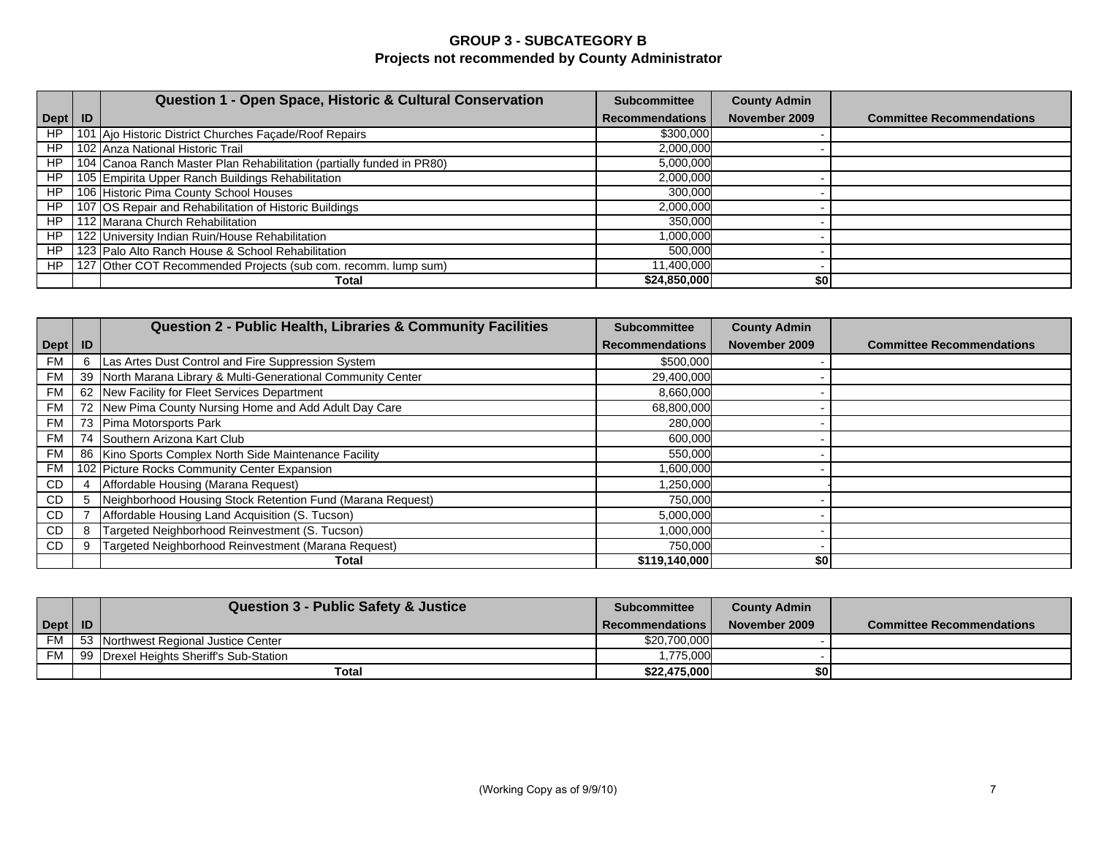## **GROUP 3 - SUBCATEGORY B Projects not recommended by County Administrator**

|           | Question 1 - Open Space, Historic & Cultural Conservation             | <b>Subcommittee</b>    | <b>County Admin</b> |                                  |
|-----------|-----------------------------------------------------------------------|------------------------|---------------------|----------------------------------|
| Dept   ID |                                                                       | <b>Recommendations</b> | November 2009       | <b>Committee Recommendations</b> |
| <b>HP</b> | 101 Ajo Historic District Churches Façade/Roof Repairs                | \$300,000              |                     |                                  |
| HP        | 102 Anza National Historic Trail                                      | 2,000,000              |                     |                                  |
| HP        | 104 Canoa Ranch Master Plan Rehabilitation (partially funded in PR80) | 5,000,000              |                     |                                  |
| HP        | 105 Empirita Upper Ranch Buildings Rehabilitation                     | 2,000,000              |                     |                                  |
| HP        | 106 Historic Pima County School Houses                                | 300,000                |                     |                                  |
| HP        | 107 OS Repair and Rehabilitation of Historic Buildings                | 2,000,000              |                     |                                  |
| HP        | 112 Marana Church Rehabilitation                                      | 350,000                |                     |                                  |
| HP        | 122 University Indian Ruin/House Rehabilitation                       | 1,000,000              |                     |                                  |
| HP        | 123 Palo Alto Ranch House & School Rehabilitation                     | 500.000                |                     |                                  |
| HP        | 127 Other COT Recommended Projects (sub com. recomm. lump sum)        | 11,400,000             |                     |                                  |
|           | Total                                                                 | \$24,850,000           | \$0                 |                                  |

|           |    | Question 2 - Public Health, Libraries & Community Facilities  | <b>Subcommittee</b>    | <b>County Admin</b> |                                  |
|-----------|----|---------------------------------------------------------------|------------------------|---------------------|----------------------------------|
| Dept      | ID |                                                               | <b>Recommendations</b> | November 2009       | <b>Committee Recommendations</b> |
| FM        | 6  | Las Artes Dust Control and Fire Suppression System            | \$500,000              |                     |                                  |
| <b>FM</b> |    | 39 North Marana Library & Multi-Generational Community Center | 29,400,000             |                     |                                  |
| FM I      |    | 62 New Facility for Fleet Services Department                 | 8,660,000              |                     |                                  |
| <b>FM</b> |    | 72 New Pima County Nursing Home and Add Adult Day Care        | 68,800,000             |                     |                                  |
| <b>FM</b> |    | 73 Pima Motorsports Park                                      | 280,000                |                     |                                  |
| FM        |    | 74 Southern Arizona Kart Club                                 | 600,000                |                     |                                  |
| <b>FM</b> |    | 86 Kino Sports Complex North Side Maintenance Facility        | 550,000                |                     |                                  |
| FM        |    | 102 Picture Rocks Community Center Expansion                  | 1,600,000              |                     |                                  |
| CD        |    | Affordable Housing (Marana Request)                           | 1,250,000              |                     |                                  |
| CD        | 5  | Neighborhood Housing Stock Retention Fund (Marana Request)    | 750,000                |                     |                                  |
| CD        |    | Affordable Housing Land Acquisition (S. Tucson)               | 5,000,000              |                     |                                  |
| CD.       | 8  | Targeted Neighborhood Reinvestment (S. Tucson)                | 1,000,000              |                     |                                  |
| CD        |    | Targeted Neighborhood Reinvestment (Marana Request)           | 750,000                |                     |                                  |
|           |    | Total                                                         | \$119,140,000          | \$0                 |                                  |

|           |           | <b>Question 3 - Public Safety &amp; Justice</b> | <b>Subcommittee</b>    | <b>County Admin</b> |                                  |
|-----------|-----------|-------------------------------------------------|------------------------|---------------------|----------------------------------|
| Dept      | <b>ID</b> |                                                 | <b>Recommendations</b> | November 2009       | <b>Committee Recommendations</b> |
| <b>FM</b> |           | 53 Northwest Regional Justice Center            | \$20,700,000           |                     |                                  |
| FM        |           | 99 Drexel Heights Sheriff's Sub-Station         | ,775,000               |                     |                                  |
|           |           | Total                                           | \$22.475.000           | \$01                |                                  |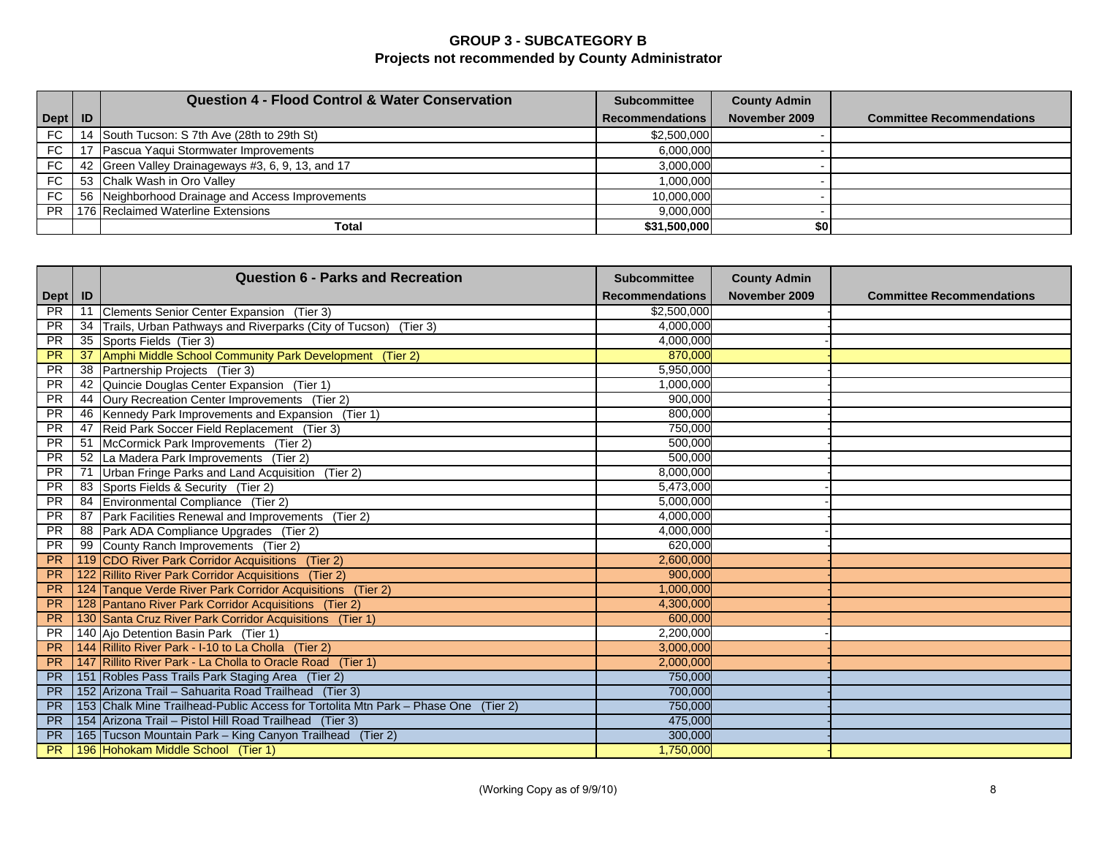## **GROUP 3 - SUBCATEGORY B Projects not recommended by County Administrator**

|           |    | <b>Question 4 - Flood Control &amp; Water Conservation</b> | <b>Subcommittee</b>    | <b>County Admin</b> |                                  |
|-----------|----|------------------------------------------------------------|------------------------|---------------------|----------------------------------|
| Dept   ID |    |                                                            | <b>Recommendations</b> | November 2009       | <b>Committee Recommendations</b> |
| FC        | 14 | South Tucson: S 7th Ave (28th to 29th St)                  | \$2,500,000            |                     |                                  |
| <b>FC</b> |    | Pascua Yaqui Stormwater Improvements                       | 6,000,000              |                     |                                  |
| FC        |    | 42 Green Valley Drainageways #3, 6, 9, 13, and 17          | 3,000,000              |                     |                                  |
| FC        |    | 53 Chalk Wash in Oro Valley                                | 1,000,000              |                     |                                  |
| <b>FC</b> |    | 56 Neighborhood Drainage and Access Improvements           | 10,000,000             |                     |                                  |
| PR.       |    | 176 Reclaimed Waterline Extensions                         | 9,000,000              |                     |                                  |
|           |    | Total                                                      | \$31,500,000           | \$0                 |                                  |

|           |     | <b>Question 6 - Parks and Recreation</b>                                           | <b>Subcommittee</b>    | <b>County Admin</b> |                                  |
|-----------|-----|------------------------------------------------------------------------------------|------------------------|---------------------|----------------------------------|
| Dept   ID |     |                                                                                    | <b>Recommendations</b> | November 2009       | <b>Committee Recommendations</b> |
| <b>PR</b> | 11  | Clements Senior Center Expansion (Tier 3)                                          | \$2,500,000            |                     |                                  |
| <b>PR</b> | 34  | Trails, Urban Pathways and Riverparks (City of Tucson) (Tier 3)                    | 4,000,000              |                     |                                  |
| PR        | 35  | Sports Fields (Tier 3)                                                             | 4,000,000              |                     |                                  |
| <b>PR</b> | 37  | Amphi Middle School Community Park Development (Tier 2)                            | 870,000                |                     |                                  |
| <b>PR</b> | -38 | Partnership Projects (Tier 3)                                                      | 5,950,000              |                     |                                  |
| <b>PR</b> | 42  | Quincie Douglas Center Expansion (Tier 1)                                          | 1,000,000              |                     |                                  |
| <b>PR</b> | 44  | Oury Recreation Center Improvements (Tier 2)                                       | 900,000                |                     |                                  |
| <b>PR</b> | 46  | Kennedy Park Improvements and Expansion (Tier 1)                                   | 800,000                |                     |                                  |
| <b>PR</b> | 47  | Reid Park Soccer Field Replacement (Tier 3)                                        | 750,000                |                     |                                  |
| <b>PR</b> | 51  | McCormick Park Improvements (Tier 2)                                               | 500,000                |                     |                                  |
| <b>PR</b> | 52  | La Madera Park Improvements (Tier 2)                                               | 500,000                |                     |                                  |
| <b>PR</b> | 71  | Urban Fringe Parks and Land Acquisition (Tier 2)                                   | 8,000,000              |                     |                                  |
| <b>PR</b> | 83  | Sports Fields & Security (Tier 2)                                                  | 5,473,000              |                     |                                  |
| <b>PR</b> | 84  | Environmental Compliance (Tier 2)                                                  | 5,000,000              |                     |                                  |
| <b>PR</b> | 87  | Park Facilities Renewal and Improvements (Tier 2)                                  | 4,000,000              |                     |                                  |
| <b>PR</b> | 88  | Park ADA Compliance Upgrades (Tier 2)                                              | 4,000,000              |                     |                                  |
| <b>PR</b> | 99  | County Ranch Improvements (Tier 2)                                                 | 620,000                |                     |                                  |
| <b>PR</b> |     | 119 CDO River Park Corridor Acquisitions (Tier 2)                                  | 2,600,000              |                     |                                  |
| <b>PR</b> |     | 122 Rillito River Park Corridor Acquisitions (Tier 2)                              | 900,000                |                     |                                  |
| <b>PR</b> |     | 124 Tanque Verde River Park Corridor Acquisitions (Tier 2)                         | 1,000,000              |                     |                                  |
| PR        |     | 128 Pantano River Park Corridor Acquisitions (Tier 2)                              | 4,300,000              |                     |                                  |
| <b>PR</b> |     | 130 Santa Cruz River Park Corridor Acquisitions (Tier 1)                           | 600,000                |                     |                                  |
| <b>PR</b> |     | 140 Ajo Detention Basin Park (Tier 1)                                              | 2,200,000              |                     |                                  |
| <b>PR</b> |     | 144 Rillito River Park - I-10 to La Cholla (Tier 2)                                | 3,000,000              |                     |                                  |
| <b>PR</b> |     | 147 Rillito River Park - La Cholla to Oracle Road (Tier 1)                         | 2,000,000              |                     |                                  |
| <b>PR</b> |     | 151 Robles Pass Trails Park Staging Area (Tier 2)                                  | 750,000                |                     |                                  |
| <b>PR</b> |     | 152 Arizona Trail - Sahuarita Road Trailhead (Tier 3)                              | 700,000                |                     |                                  |
| <b>PR</b> |     | 153 Chalk Mine Trailhead-Public Access for Tortolita Mtn Park - Phase One (Tier 2) | 750,000                |                     |                                  |
| <b>PR</b> |     | 154 Arizona Trail - Pistol Hill Road Trailhead (Tier 3)                            | 475,000                |                     |                                  |
| <b>PR</b> |     | 165 Tucson Mountain Park - King Canyon Trailhead (Tier 2)                          | 300,000                |                     |                                  |
| <b>PR</b> |     | 196 Hohokam Middle School (Tier 1)                                                 | 1,750,000              |                     |                                  |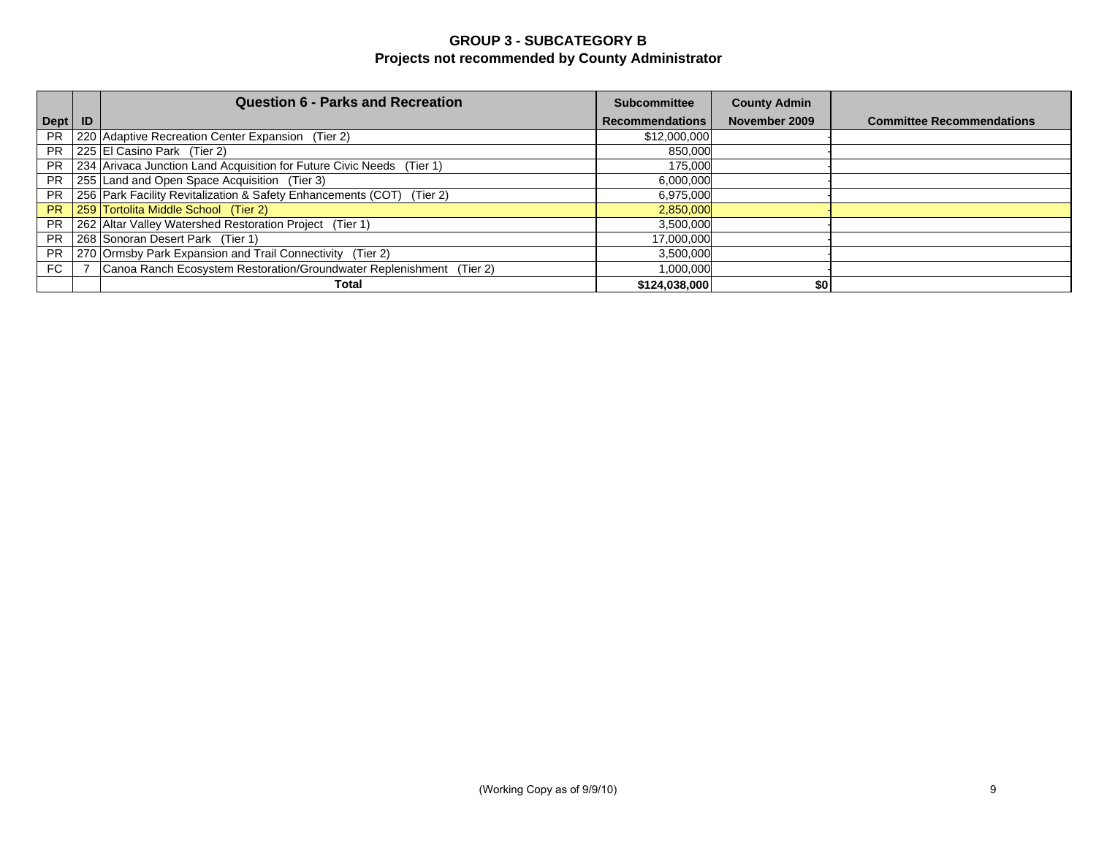## **GROUP 3 - SUBCATEGORY B Projects not recommended by County Administrator**

|           | <b>Question 6 - Parks and Recreation</b>                              | <b>Subcommittee</b>    | <b>County Admin</b> |                                  |
|-----------|-----------------------------------------------------------------------|------------------------|---------------------|----------------------------------|
| Dept   ID |                                                                       | <b>Recommendations</b> | November 2009       | <b>Committee Recommendations</b> |
| <b>PR</b> | 220 Adaptive Recreation Center Expansion (Tier 2)                     | \$12,000,000           |                     |                                  |
| <b>PR</b> | 225 El Casino Park (Tier 2)                                           | 850,000                |                     |                                  |
| <b>PR</b> | 234 Arivaca Junction Land Acquisition for Future Civic Needs (Tier 1) | 175,000                |                     |                                  |
| <b>PR</b> | 255 Land and Open Space Acquisition (Tier 3)                          | 6,000,000              |                     |                                  |
| <b>PR</b> | 256 Park Facility Revitalization & Safety Enhancements (COT) (Tier 2) | 6,975,000              |                     |                                  |
| <b>PR</b> | 259 Tortolita Middle School (Tier 2)                                  | 2,850,000              |                     |                                  |
| <b>PR</b> | 262 Altar Valley Watershed Restoration Project (Tier 1)               | 3,500,000              |                     |                                  |
| <b>PR</b> | 268 Sonoran Desert Park (Tier 1)                                      | 17,000,000             |                     |                                  |
| <b>PR</b> | 270 Ormsby Park Expansion and Trail Connectivity (Tier 2)             | 3,500,000              |                     |                                  |
| FC        | Canoa Ranch Ecosystem Restoration/Groundwater Replenishment (Tier 2)  | 1,000,000              |                     |                                  |
|           | Total                                                                 | \$124,038,000          | \$0                 |                                  |